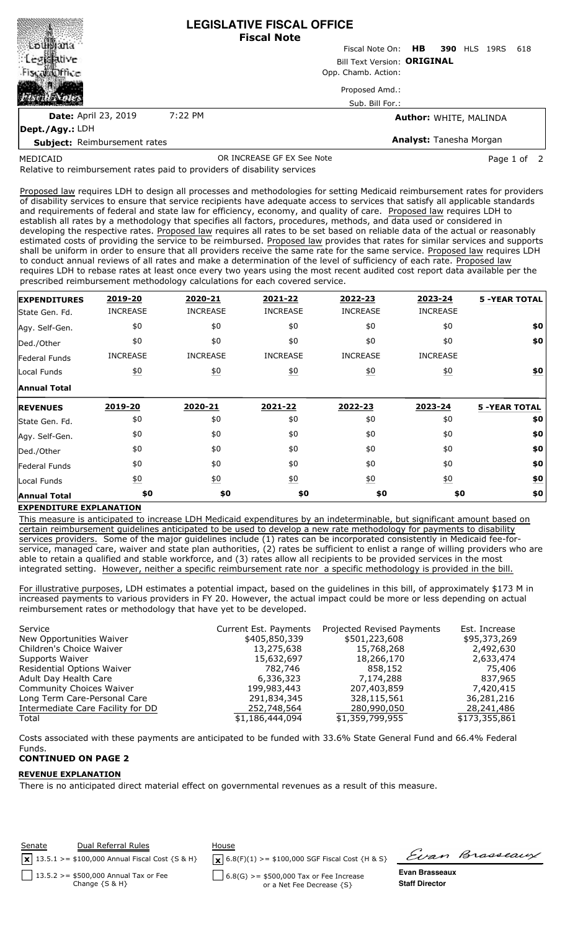|                              |         | <b>LEGISLATIVE FISCAL OFFICE</b><br><b>Fiscal Note</b> |
|------------------------------|---------|--------------------------------------------------------|
|                              |         | Fiscal Note On: HB 390 HLS 19RS<br>618                 |
| <b>Legislative</b>           |         | <b>Bill Text Version: ORIGINAL</b>                     |
| Fiscalabilitie               |         | Opp. Chamb. Action:                                    |
|                              |         | Proposed Amd.:                                         |
|                              |         | Sub. Bill For.:                                        |
| <b>Date: April 23, 2019</b>  | 7:22 PM | <b>Author: WHITE, MALINDA</b>                          |
| $\vert$ Dept./Agy.: LDH      |         |                                                        |
| Cubingt: Deimburgement rates |         | <b>Analyst:</b> Tanesha Morgan                         |

MEDICAID

**Subject:** Reimbursement rates

OR INCREASE GF EX See Note **Page 1** of 2

Relative to reimbursement rates paid to providers of disability services

Proposed law requires LDH to design all processes and methodologies for setting Medicaid reimbursement rates for providers of disability services to ensure that service recipients have adequate access to services that satisfy all applicable standards and requirements of federal and state law for efficiency, economy, and quality of care. Proposed law requires LDH to establish all rates by a methodology that specifies all factors, procedures, methods, and data used or considered in developing the respective rates. Proposed law requires all rates to be set based on reliable data of the actual or reasonably estimated costs of providing the service to be reimbursed. Proposed law provides that rates for similar services and supports shall be uniform in order to ensure that all providers receive the same rate for the same service. Proposed law requires LDH to conduct annual reviews of all rates and make a determination of the level of sufficiency of each rate. Proposed law requires LDH to rebase rates at least once every two years using the most recent audited cost report data available per the prescribed reimbursement methodology calculations for each covered service.

| <b>EXPENDITURES</b> | 2019-20          | 2020-21           | 2021-22          | 2022-23          | 2023-24          | <b>5 -YEAR TOTAL</b> |
|---------------------|------------------|-------------------|------------------|------------------|------------------|----------------------|
| State Gen. Fd.      | <b>INCREASE</b>  | <b>INCREASE</b>   | <b>INCREASE</b>  | <b>INCREASE</b>  | <b>INCREASE</b>  |                      |
| Agy. Self-Gen.      | \$0              | \$0               | \$0              | \$0              | \$0              | \$0                  |
| Ded./Other          | \$0              | \$0               | \$0              | \$0              | \$0              | \$0                  |
| Federal Funds       | <b>INCREASE</b>  | <b>INCREASE</b>   | <b>INCREASE</b>  | <b>INCREASE</b>  | <b>INCREASE</b>  |                      |
| Local Funds         | $\underline{50}$ | $\underline{40}$  | $\underline{40}$ | $\underline{50}$ | $\underline{50}$ | $\underline{\$0}$    |
| <b>Annual Total</b> |                  |                   |                  |                  |                  |                      |
| <b>REVENUES</b>     | 2019-20          | 2020-21           | 2021-22          | 2022-23          | 2023-24          | <b>5 -YEAR TOTAL</b> |
| State Gen. Fd.      | \$0              | \$0               | \$0              | \$0              | \$0              | \$0                  |
| Agy. Self-Gen.      | \$0              | \$0               | \$0              | \$0              | \$0              | \$0                  |
| Ded./Other          | \$0              | \$0               | \$0              | \$0              | \$0              | \$0                  |
| Federal Funds       | \$0              | \$0               | \$0              | \$0              | \$0              | \$0                  |
| Local Funds         |                  |                   |                  |                  | $\underline{50}$ | <u>\$0</u>           |
|                     | $\underline{50}$ | $\underline{\$0}$ | $\underline{40}$ | 60               |                  |                      |

## **EXPENDITURE EXPLANATION**

This measure is anticipated to increase LDH Medicaid expenditures by an indeterminable, but significant amount based on certain reimbursement guidelines anticipated to be used to develop a new rate methodology for payments to disability services providers. Some of the major guidelines include (1) rates can be incorporated consistently in Medicaid fee-forservice, managed care, waiver and state plan authorities, (2) rates be sufficient to enlist a range of willing providers who are able to retain a qualified and stable workforce, and (3) rates allow all recipients to be provided services in the most integrated setting. However, neither a specific reimbursement rate nor a specific methodology is provided in the bill.

For illustrative purposes, LDH estimates a potential impact, based on the guidelines in this bill, of approximately \$173 M in increased payments to various providers in FY 20. However, the actual impact could be more or less depending on actual reimbursement rates or methodology that have yet to be developed.

| Service                           | Current Est. Payments | Projected Revised Payments | Est. Increase |
|-----------------------------------|-----------------------|----------------------------|---------------|
| New Opportunities Waiver          | \$405,850,339         | \$501,223,608              | \$95,373,269  |
| Children's Choice Waiver          | 13,275,638            | 15,768,268                 | 2,492,630     |
| Supports Waiver                   | 15,632,697            | 18,266,170                 | 2,633,474     |
| Residential Options Waiver        | 782,746               | 858,152                    | 75,406        |
| Adult Day Health Care             | 6,336,323             | 7,174,288                  | 837,965       |
| <b>Community Choices Waiver</b>   | 199,983,443           | 207,403,859                | 7,420,415     |
| Long Term Care-Personal Care      | 291,834,345           | 328,115,561                | 36,281,216    |
| Intermediate Care Facility for DD | 252,748,564           | 280,990,050                | 28,241,486    |
| Total                             | \$1,186,444,094       | \$1,359,799,955            | \$173,355,861 |

Costs associated with these payments are anticipated to be funded with 33.6% State General Fund and 66.4% Federal Funds.

## **CONTINUED ON PAGE 2**

## **REVENUE EXPLANATION**

There is no anticipated direct material effect on governmental revenues as a result of this measure.

| <b>Senate</b> | Dual Referral Rules<br>$\boxed{\mathbf{x}}$ 13.5.1 >= \$100,000 Annual Fiscal Cost {S & H} | House<br>$\mathbf{X}$ 6.8(F)(1) >= \$100,000 SGF Fiscal Cost {H & S}   |                                         | Evan Brasseaux |
|---------------|--------------------------------------------------------------------------------------------|------------------------------------------------------------------------|-----------------------------------------|----------------|
|               | 13.5.2 > = \$500,000 Annual Tax or Fee<br>Change $\{S \& H\}$                              | $6.8(G) > = $500,000$ Tax or Fee Increase<br>or a Net Fee Decrease {S} | Evan Brasseaux<br><b>Staff Director</b> |                |